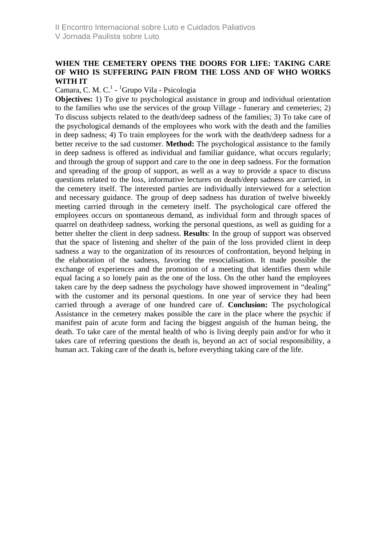## **WHEN THE CEMETERY OPENS THE DOORS FOR LIFE: TAKING CARE OF WHO IS SUFFERING PAIN FROM THE LOSS AND OF WHO WORKS WITH IT**

## Camara, C. M. C.<sup>1</sup> - <sup>1</sup>Grupo Vila - Psicologia

**Objectives:** 1) To give to psychological assistance in group and individual orientation to the families who use the services of the group Village - funerary and cemeteries; 2) To discuss subjects related to the death/deep sadness of the families; 3) To take care of the psychological demands of the employees who work with the death and the families in deep sadness; 4) To train employees for the work with the death/deep sadness for a better receive to the sad customer. **Method:** The psychological assistance to the family in deep sadness is offered as individual and familiar guidance, what occurs regularly; and through the group of support and care to the one in deep sadness. For the formation and spreading of the group of support, as well as a way to provide a space to discuss questions related to the loss, informative lectures on death/deep sadness are carried, in the cemetery itself. The interested parties are individually interviewed for a selection and necessary guidance. The group of deep sadness has duration of twelve biweekly meeting carried through in the cemetery itself. The psychological care offered the employees occurs on spontaneous demand, as individual form and through spaces of quarrel on death/deep sadness, working the personal questions, as well as guiding for a better shelter the client in deep sadness. **Results**: In the group of support was observed that the space of listening and shelter of the pain of the loss provided client in deep sadness a way to the organization of its resources of confrontation, beyond helping in the elaboration of the sadness, favoring the resocialisation. It made possible the exchange of experiences and the promotion of a meeting that identifies them while equal facing a so lonely pain as the one of the loss. On the other hand the employees taken care by the deep sadness the psychology have showed improvement in "dealing" with the customer and its personal questions. In one year of service they had been carried through a average of one hundred care of. **Conclusion:** The psychological Assistance in the cemetery makes possible the care in the place where the psychic if manifest pain of acute form and facing the biggest anguish of the human being, the death. To take care of the mental health of who is living deeply pain and/or for who it takes care of referring questions the death is, beyond an act of social responsibility, a human act. Taking care of the death is, before everything taking care of the life.